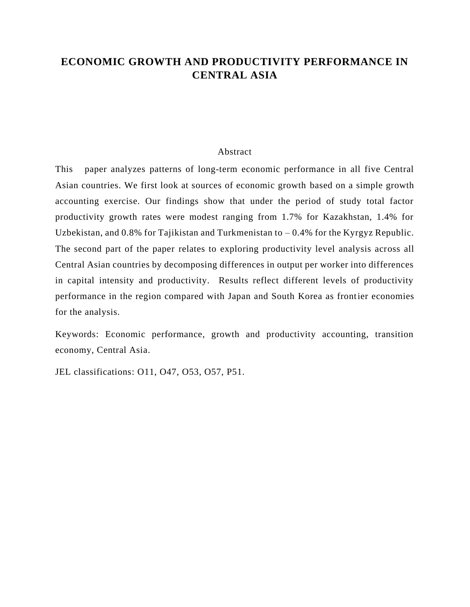## **ECONOMIC GROWTH AND PRODUCTIVITY PERFORMANCE IN CENTRAL ASIA**

## Abstract

This paper analyzes patterns of long-term economic performance in all five Central Asian countries. We first look at sources of economic growth based on a simple growth accounting exercise. Our findings show that under the period of study total factor productivity growth rates were modest ranging from 1.7% for Kazakhstan, 1.4% for Uzbekistan, and  $0.8\%$  for Tajikistan and Turkmenistan to  $-0.4\%$  for the Kyrgyz Republic. The second part of the paper relates to exploring productivity level analysis across all Central Asian countries by decomposing differences in output per worker into differences in capital intensity and productivity. Results reflect different levels of productivity performance in the region compared with Japan and South Korea as frontier economies for the analysis.

Keywords: Economic performance, growth and productivity accounting, transition economy, Central Asia.

JEL classifications: O11, O47, O53, O57, P51.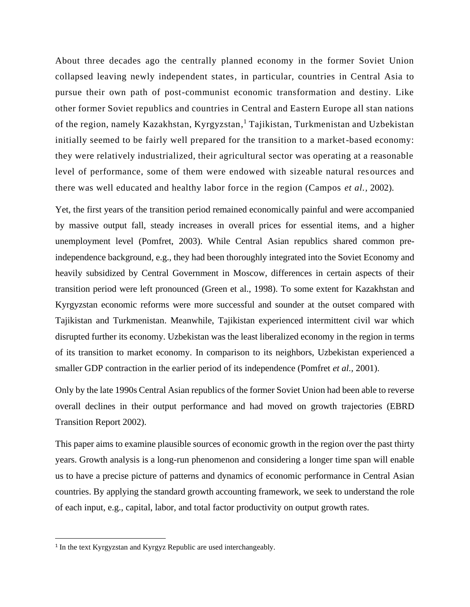About three decades ago the centrally planned economy in the former Soviet Union collapsed leaving newly independent states, in particular, countries in Central Asia to pursue their own path of post-communist economic transformation and destiny. Like other former Soviet republics and countries in Central and Eastern Europe all stan nations of the region, namely Kazakhstan, Kyrgyzstan, <sup>1</sup> Tajikistan, Turkmenistan and Uzbekistan initially seemed to be fairly well prepared for the transition to a market-based economy: they were relatively industrialized, their agricultural sector was operating at a reasonable level of performance, some of them were endowed with sizeable natural resources and there was well educated and healthy labor force in the region (Campos *et al.,* 2002).

Yet, the first years of the transition period remained economically painful and were accompanied by massive output fall, steady increases in overall prices for essential items, and a higher unemployment level (Pomfret, 2003). While Central Asian republics shared common preindependence background, e.g., they had been thoroughly integrated into the Soviet Economy and heavily subsidized by Central Government in Moscow, differences in certain aspects of their transition period were left pronounced (Green et al., 1998). To some extent for Kazakhstan and Kyrgyzstan economic reforms were more successful and sounder at the outset compared with Tajikistan and Turkmenistan. Meanwhile, Tajikistan experienced intermittent civil war which disrupted further its economy. Uzbekistan was the least liberalized economy in the region in terms of its transition to market economy. In comparison to its neighbors, Uzbekistan experienced a smaller GDP contraction in the earlier period of its independence (Pomfret *et al.,* 2001).

Only by the late 1990s Central Asian republics of the former Soviet Union had been able to reverse overall declines in their output performance and had moved on growth trajectories (EBRD Transition Report 2002).

This paper aims to examine plausible sources of economic growth in the region over the past thirty years. Growth analysis is a long-run phenomenon and considering a longer time span will enable us to have a precise picture of patterns and dynamics of economic performance in Central Asian countries. By applying the standard growth accounting framework, we seek to understand the role of each input, e.g., capital, labor, and total factor productivity on output growth rates.

<sup>&</sup>lt;sup>1</sup> In the text Kyrgyzstan and Kyrgyz Republic are used interchangeably.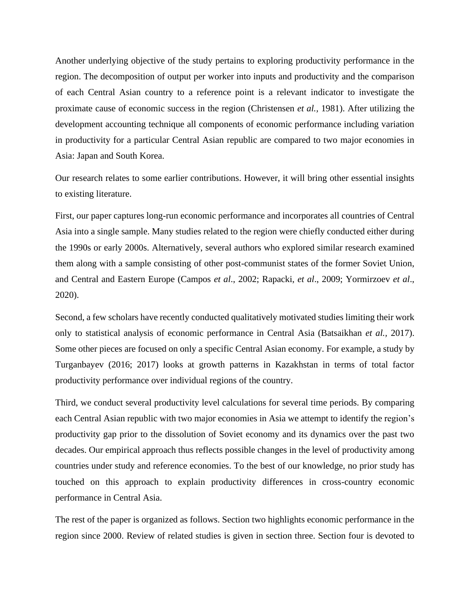Another underlying objective of the study pertains to exploring productivity performance in the region. The decomposition of output per worker into inputs and productivity and the comparison of each Central Asian country to a reference point is a relevant indicator to investigate the proximate cause of economic success in the region (Christensen *et al.,* 1981). After utilizing the development accounting technique all components of economic performance including variation in productivity for a particular Central Asian republic are compared to two major economies in Asia: Japan and South Korea.

Our research relates to some earlier contributions. However, it will bring other essential insights to existing literature.

First, our paper captures long-run economic performance and incorporates all countries of Central Asia into a single sample. Many studies related to the region were chiefly conducted either during the 1990s or early 2000s. Alternatively, several authors who explored similar research examined them along with a sample consisting of other post-communist states of the former Soviet Union, and Central and Eastern Europe (Campos *et al*., 2002; Rapacki, *et al*., 2009; Yormirzoev *et al*., 2020).

Second, a few scholars have recently conducted qualitatively motivated studies limiting their work only to statistical analysis of economic performance in Central Asia (Batsaikhan *et al.,* 2017). Some other pieces are focused on only a specific Central Asian economy. For example, a study by Turganbayev (2016; 2017) looks at growth patterns in Kazakhstan in terms of total factor productivity performance over individual regions of the country.

Third, we conduct several productivity level calculations for several time periods. By comparing each Central Asian republic with two major economies in Asia we attempt to identify the region's productivity gap prior to the dissolution of Soviet economy and its dynamics over the past two decades. Our empirical approach thus reflects possible changes in the level of productivity among countries under study and reference economies. To the best of our knowledge, no prior study has touched on this approach to explain productivity differences in cross-country economic performance in Central Asia.

The rest of the paper is organized as follows. Section two highlights economic performance in the region since 2000. Review of related studies is given in section three. Section four is devoted to